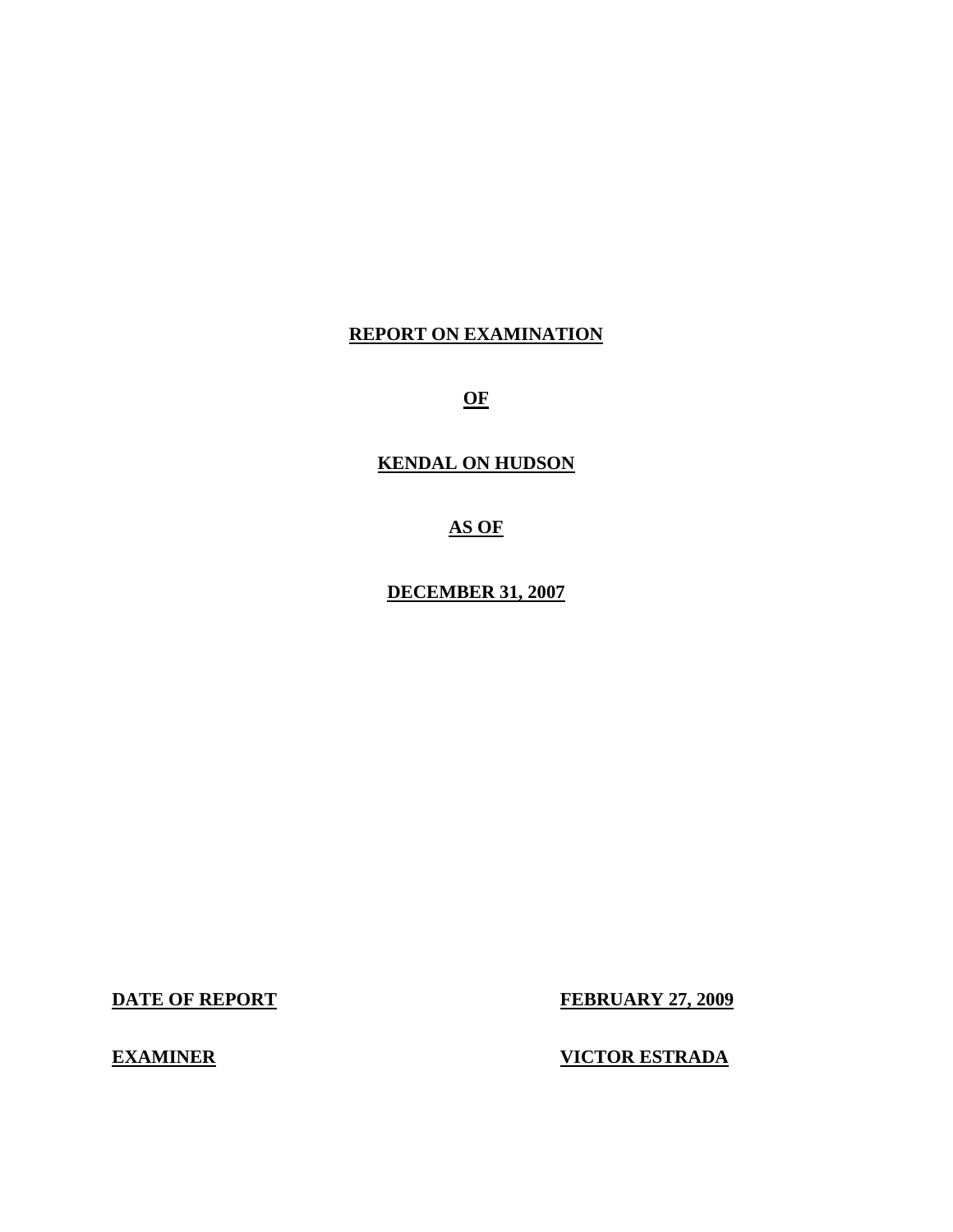## **REPORT ON EXAMINATION**

**OF** 

# **KENDAL ON HUDSON**

**AS OF** 

**DECEMBER 31, 2007** 

**DATE OF REPORT FEBRUARY 27, 2009** 

**EXAMINER VICTOR ESTRADA**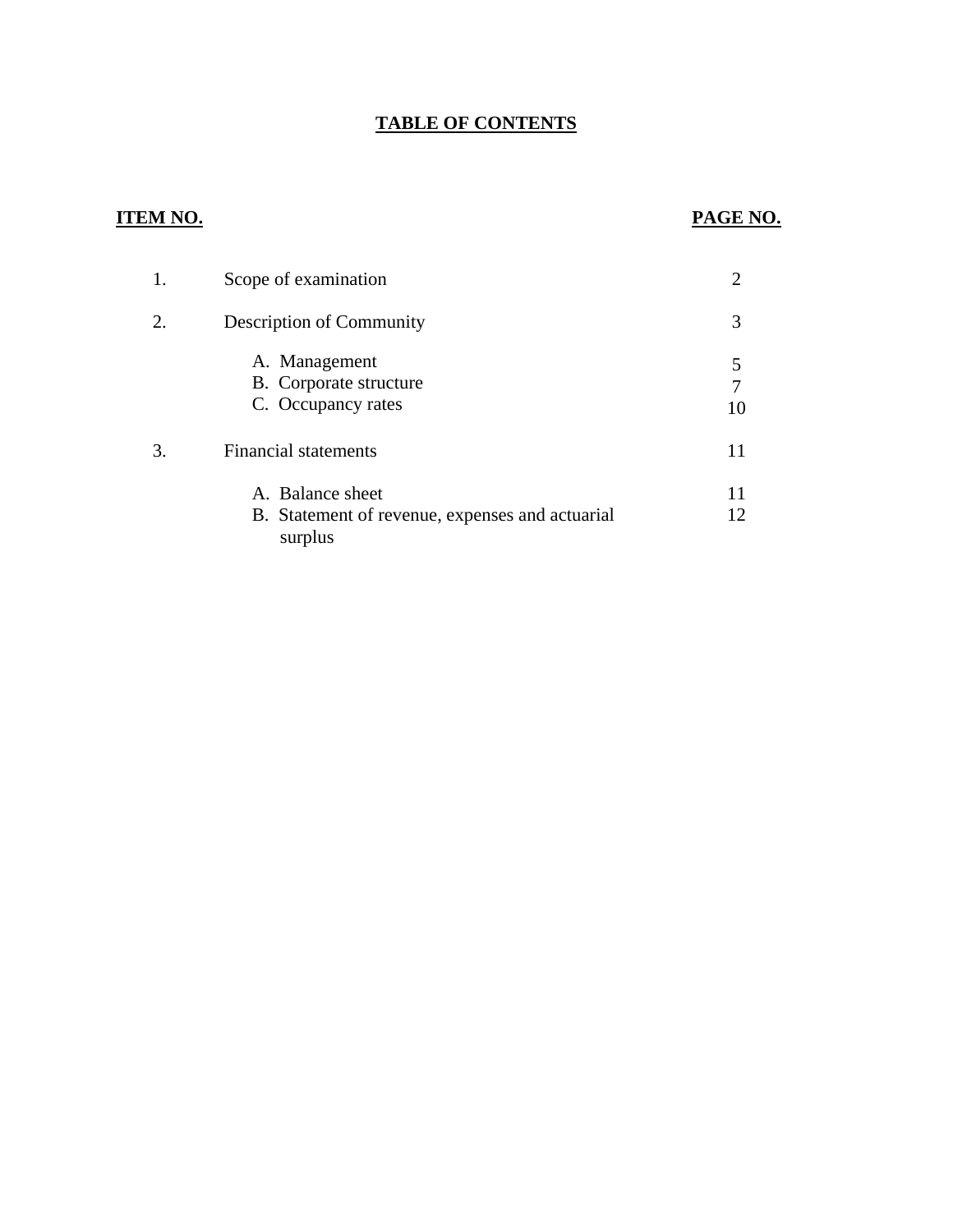# **TABLE OF CONTENTS**

# **ITEM NO. PAGE NO.**

| 1. | Scope of examination                                                           |    |
|----|--------------------------------------------------------------------------------|----|
|    | <b>Description of Community</b>                                                | 3  |
|    | A. Management<br>B. Corporate structure<br>C. Occupancy rates                  | 10 |
| 3. | <b>Financial statements</b>                                                    |    |
|    | A. Balance sheet<br>B. Statement of revenue, expenses and actuarial<br>surplus | 12 |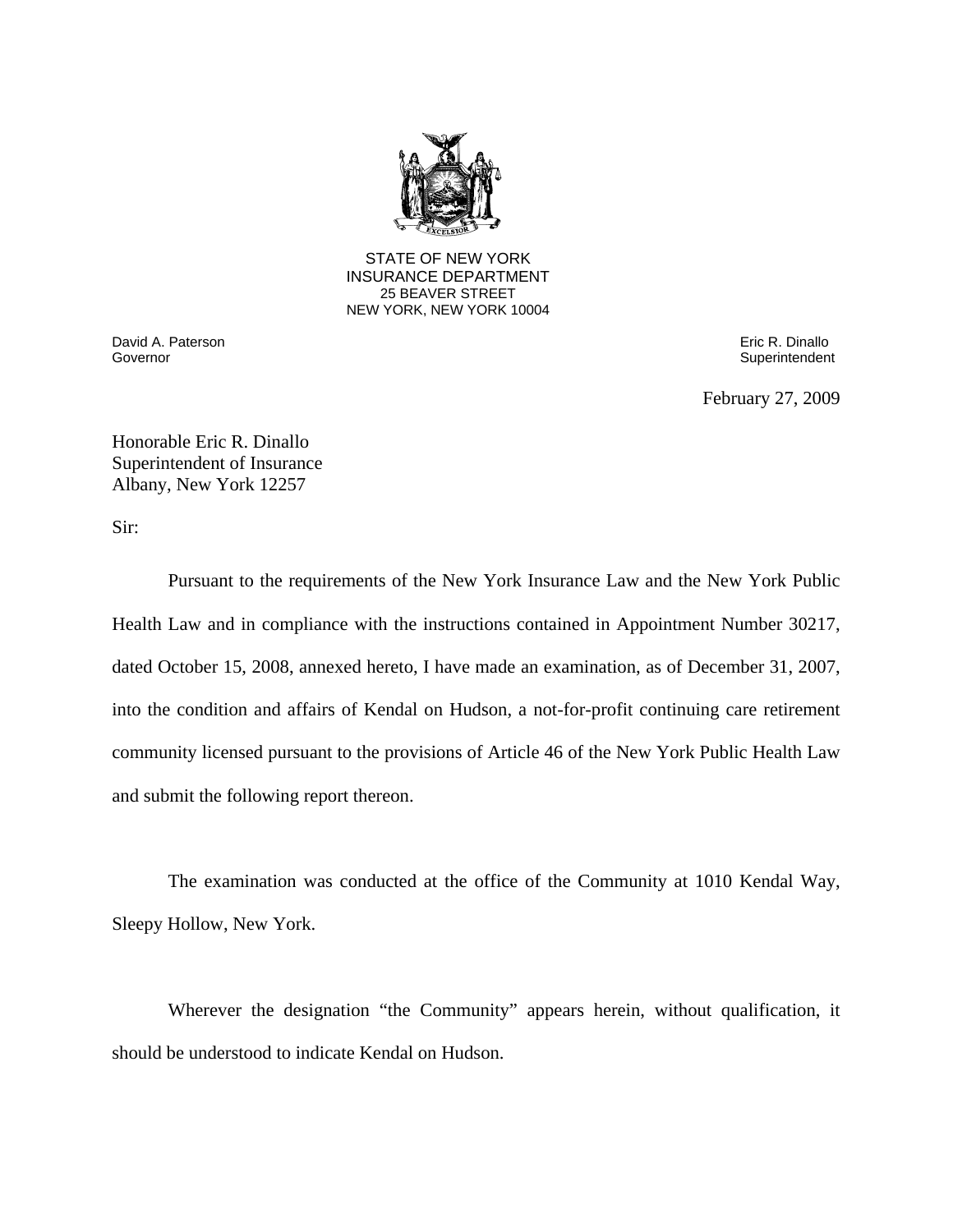

**25 BEAVER STREET** STATE OF NEW YORK INSURANCE DEPARTMENT NEW YORK, NEW YORK 10004

Governor David A. Paterson Eric R. Dinallo

Superintendent

February 27, 2009

Honorable Eric R. Dinallo Superintendent of Insurance Albany, New York 12257

Sir:

Pursuant to the requirements of the New York Insurance Law and the New York Public Health Law and in compliance with the instructions contained in Appointment Number 30217, dated October 15, 2008, annexed hereto, I have made an examination, as of December 31, 2007, into the condition and affairs of Kendal on Hudson, a not-for-profit continuing care retirement community licensed pursuant to the provisions of Article 46 of the New York Public Health Law and submit the following report thereon.

The examination was conducted at the office of the Community at 1010 Kendal Way, Sleepy Hollow, New York.

Wherever the designation "the Community" appears herein, without qualification, it should be understood to indicate Kendal on Hudson.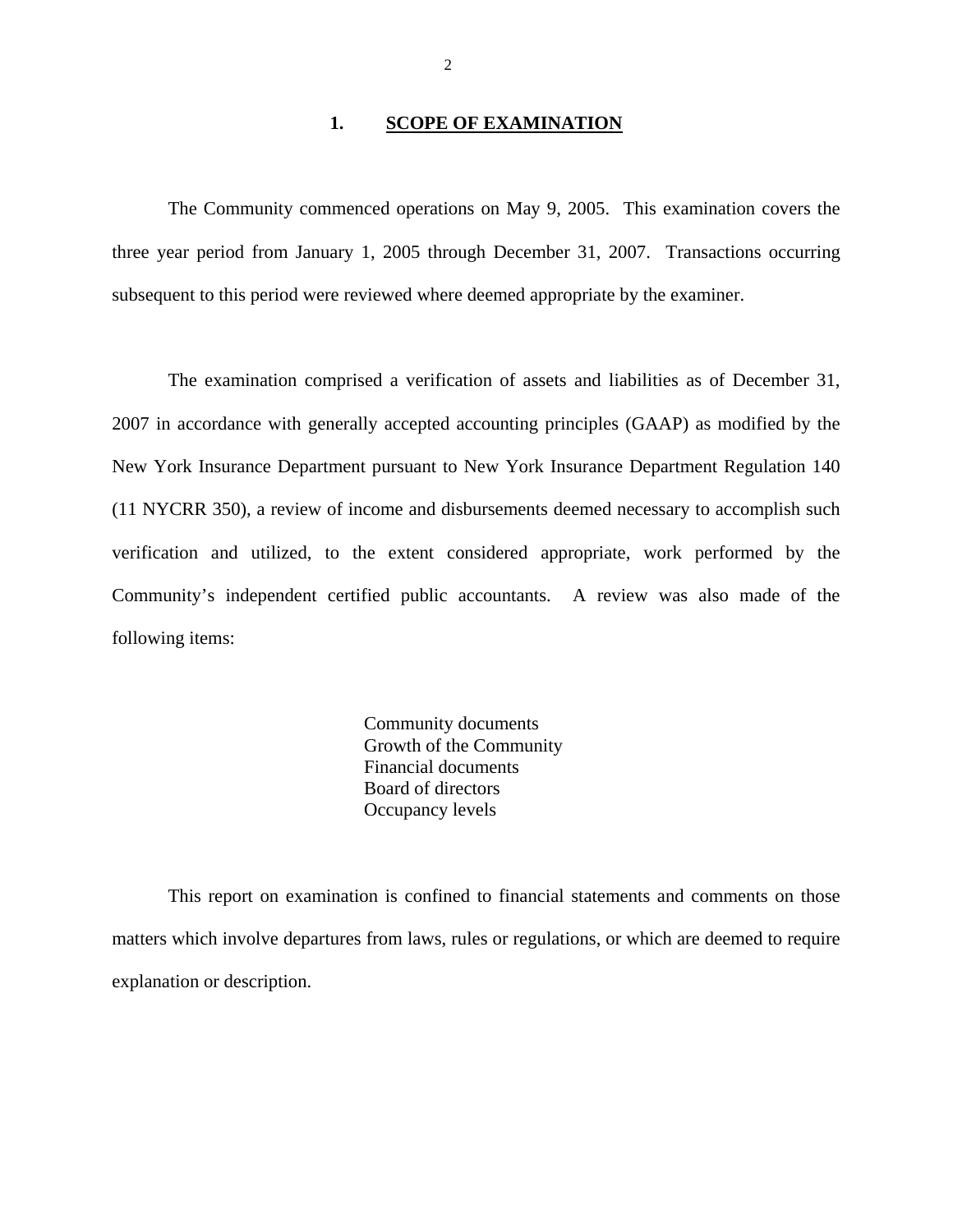#### 1. **SCOPE OF EXAMINATION**

The Community commenced operations on May 9, 2005. This examination covers the three year period from January 1, 2005 through December 31, 2007. Transactions occurring subsequent to this period were reviewed where deemed appropriate by the examiner.

The examination comprised a verification of assets and liabilities as of December 31, 2007 in accordance with generally accepted accounting principles (GAAP) as modified by the New York Insurance Department pursuant to New York Insurance Department Regulation 140 (11 NYCRR 350), a review of income and disbursements deemed necessary to accomplish such verification and utilized, to the extent considered appropriate, work performed by the Community's independent certified public accountants. A review was also made of the following items:

> Community documents Growth of the Community Financial documents Board of directors Occupancy levels

This report on examination is confined to financial statements and comments on those matters which involve departures from laws, rules or regulations, or which are deemed to require explanation or description.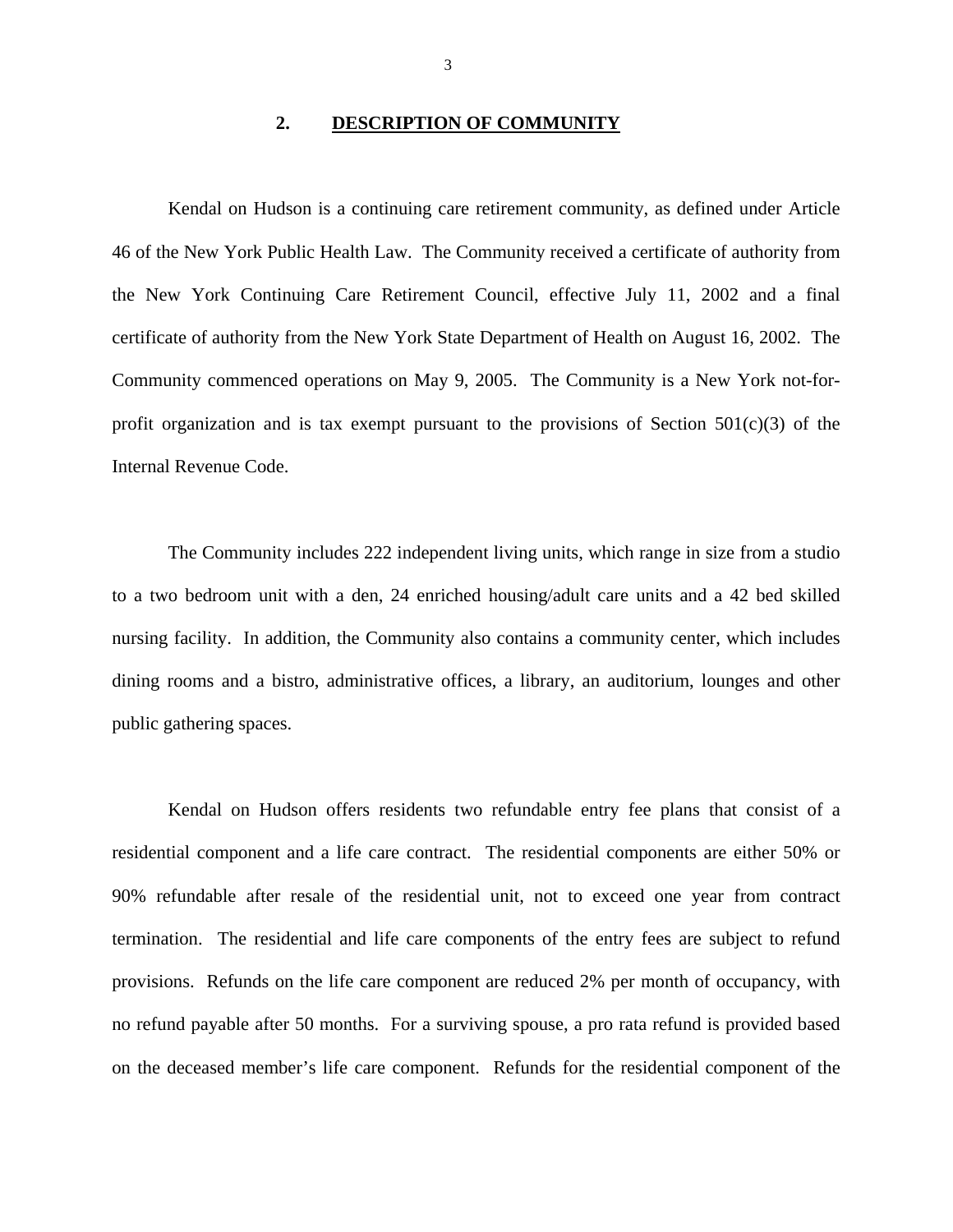#### **2. DESCRIPTION OF COMMUNITY**

<span id="page-4-0"></span>Kendal on Hudson is a continuing care retirement community, as defined under Article 46 of the New York Public Health Law. The Community received a certificate of authority from the New York Continuing Care Retirement Council, effective July 11, 2002 and a final certificate of authority from the New York State Department of Health on August 16, 2002. The Community commenced operations on May 9, 2005. The Community is a New York not-forprofit organization and is tax exempt pursuant to the provisions of Section  $501(c)(3)$  of the Internal Revenue Code.

The Community includes 222 independent living units, which range in size from a studio to a two bedroom unit with a den, 24 enriched housing/adult care units and a 42 bed skilled nursing facility. In addition, the Community also contains a community center, which includes dining rooms and a bistro, administrative offices, a library, an auditorium, lounges and other public gathering spaces.

Kendal on Hudson offers residents two refundable entry fee plans that consist of a residential component and a life care contract. The residential components are either 50% or 90% refundable after resale of the residential unit, not to exceed one year from contract termination. The residential and life care components of the entry fees are subject to refund provisions. Refunds on the life care component are reduced 2% per month of occupancy, with no refund payable after 50 months. For a surviving spouse, a pro rata refund is provided based on the deceased member's life care component. Refunds for the residential component of the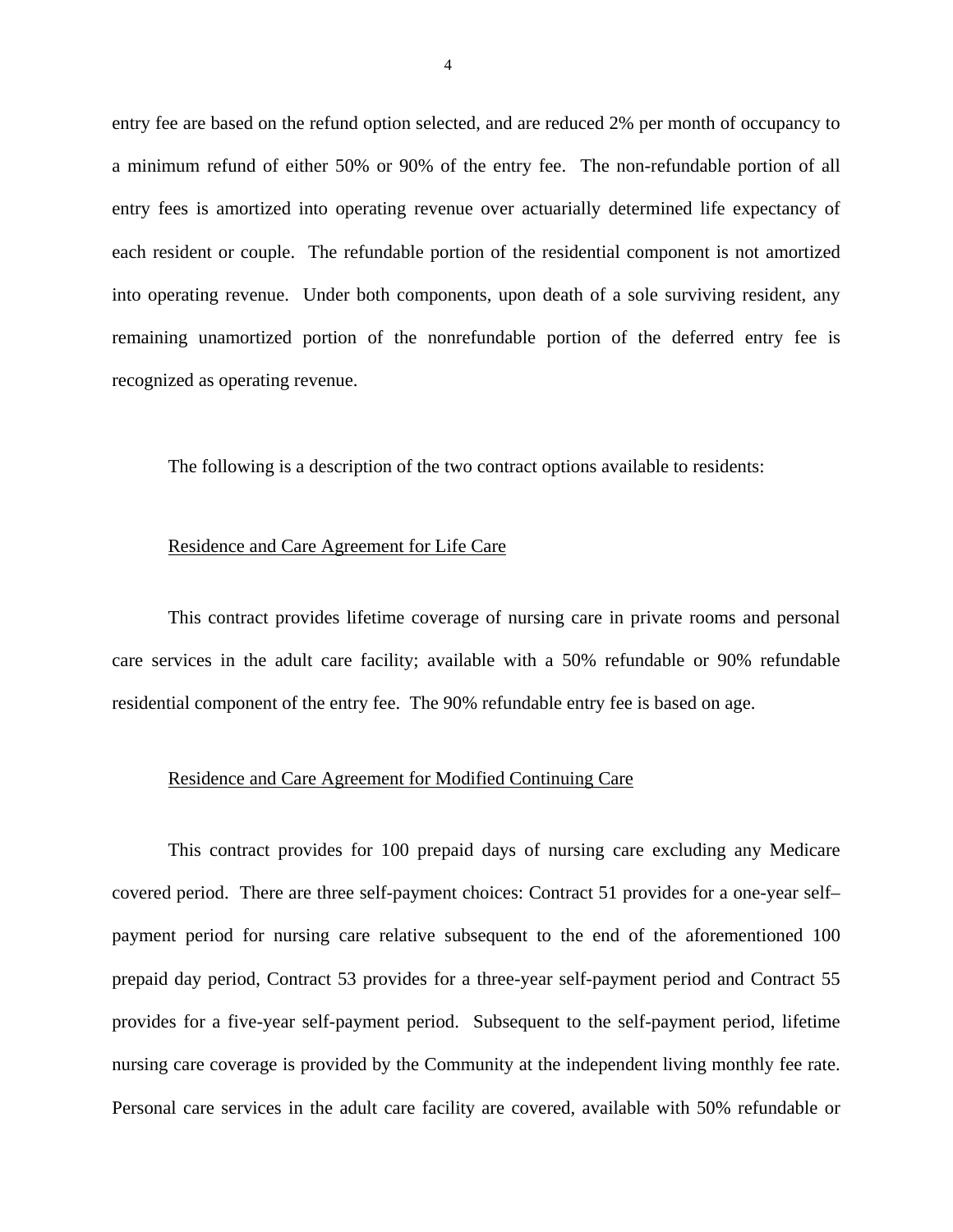entry fee are based on the refund option selected, and are reduced 2% per month of occupancy to a minimum refund of either 50% or 90% of the entry fee. The non-refundable portion of all entry fees is amortized into operating revenue over actuarially determined life expectancy of each resident or couple. The refundable portion of the residential component is not amortized into operating revenue. Under both components, upon death of a sole surviving resident, any remaining unamortized portion of the nonrefundable portion of the deferred entry fee is recognized as operating revenue.

The following is a description of the two contract options available to residents:

#### Residence and Care Agreement for Life Care

This contract provides lifetime coverage of nursing care in private rooms and personal care services in the adult care facility; available with a 50% refundable or 90% refundable residential component of the entry fee. The 90% refundable entry fee is based on age.

#### Residence and Care Agreement for Modified Continuing Care

This contract provides for 100 prepaid days of nursing care excluding any Medicare covered period. There are three self-payment choices: Contract 51 provides for a one-year self– payment period for nursing care relative subsequent to the end of the aforementioned 100 prepaid day period, Contract 53 provides for a three-year self-payment period and Contract 55 provides for a five-year self-payment period. Subsequent to the self-payment period, lifetime nursing care coverage is provided by the Community at the independent living monthly fee rate. Personal care services in the adult care facility are covered, available with 50% refundable or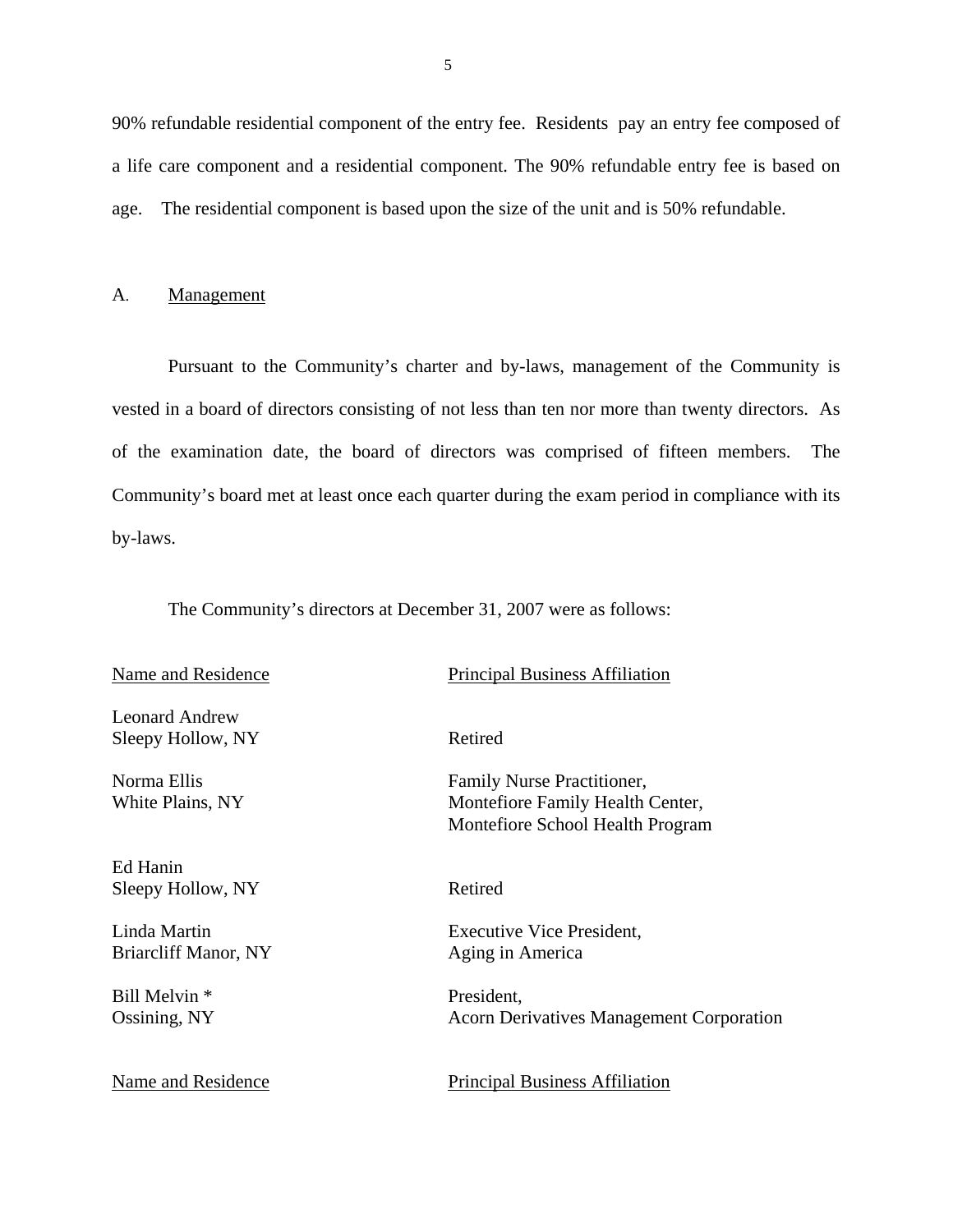<span id="page-6-0"></span>90% refundable residential component of the entry fee. Residents pay an entry fee composed of a life care component and a residential component. The 90% refundable entry fee is based on age. The residential component is based upon the size of the unit and is 50% refundable.

#### A. Management

Pursuant to the Community's charter and by-laws, management of the Community is vested in a board of directors consisting of not less than ten nor more than twenty directors. As of the examination date, the board of directors was comprised of fifteen members. The Community's board met at least once each quarter during the exam period in compliance with its by-laws.

The Community's directors at December 31, 2007 were as follows:

Leonard Andrew Sleepy Hollow, NY Retired

Sleepy Hollow, NY Retired

Briarcliff Manor, NY Aging in America

Bill Melvin \* President,

Name and Residence

# Principal Business Affiliation

Montefiore School Health Program<br>Ed Hanin Norma Ellis Family Nurse Practitioner, White Plains, NY Montefiore Family Health Center,

Linda Martin Executive Vice President,

Ossining, NY Acorn Derivatives Management Corporation

Principal Business Affiliation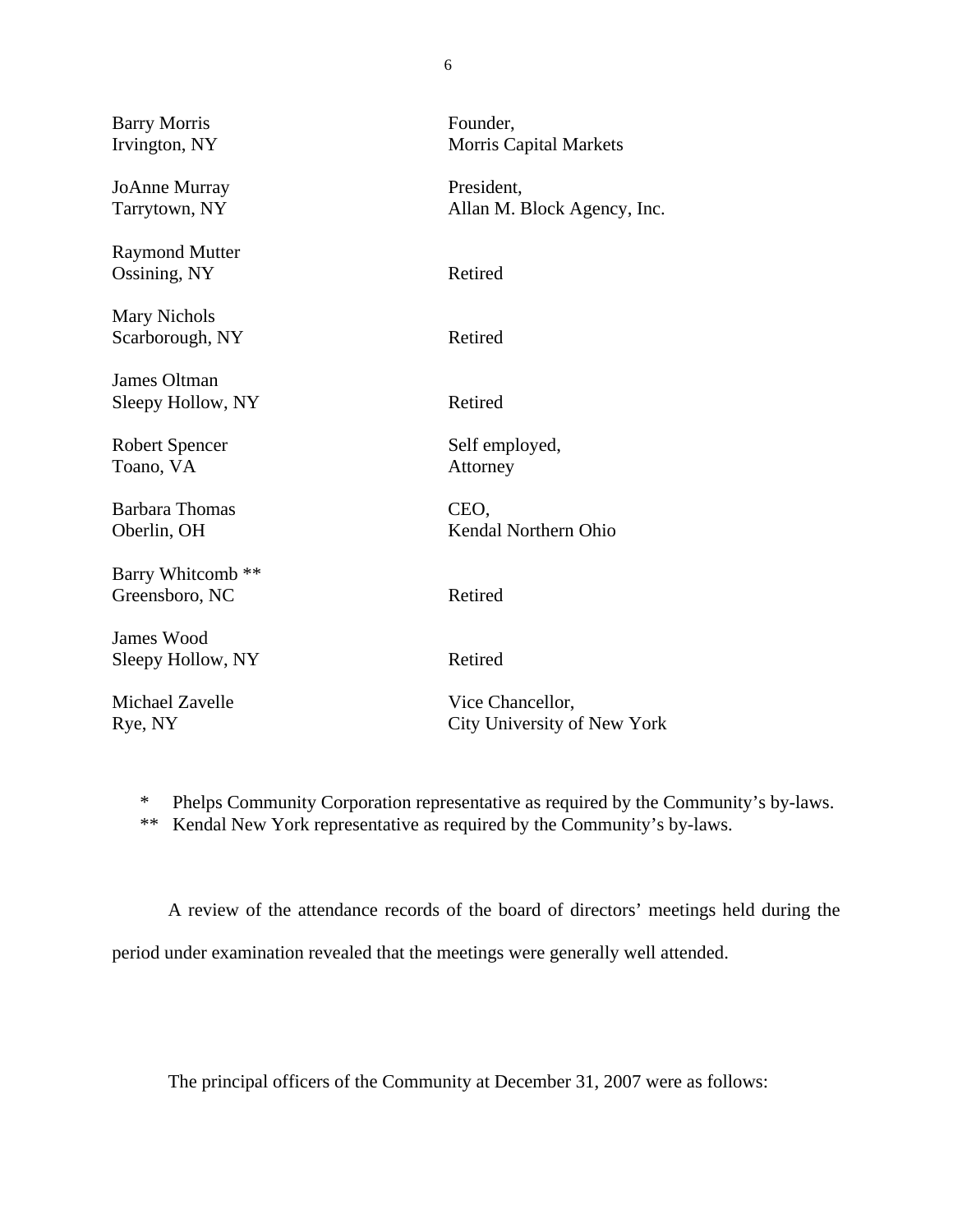| <b>Barry Morris</b><br>Irvington, NY           | Founder,<br><b>Morris Capital Markets</b>       |
|------------------------------------------------|-------------------------------------------------|
| <b>JoAnne Murray</b><br>Tarrytown, NY          | President,<br>Allan M. Block Agency, Inc.       |
| <b>Raymond Mutter</b><br>Ossining, NY          | Retired                                         |
| <b>Mary Nichols</b><br>Scarborough, NY         | Retired                                         |
| <b>James Oltman</b><br>Sleepy Hollow, NY       | Retired                                         |
| <b>Robert Spencer</b><br>Toano, VA             | Self employed,<br>Attorney                      |
| <b>Barbara Thomas</b><br>Oberlin, OH           | CEO,<br>Kendal Northern Ohio                    |
| Barry Whitcomb <sup>**</sup><br>Greensboro, NC | Retired                                         |
| James Wood<br>Sleepy Hollow, NY                | Retired                                         |
| Michael Zavelle<br>Rye, NY                     | Vice Chancellor,<br>City University of New York |

\* Phelps Community Corporation representative as required by the Community's by-laws.

\*\* Kendal New York representative as required by the Community's by-laws.

A review of the attendance records of the board of directors' meetings held during the

period under examination revealed that the meetings were generally well attended.

The principal officers of the Community at December 31, 2007 were as follows:

6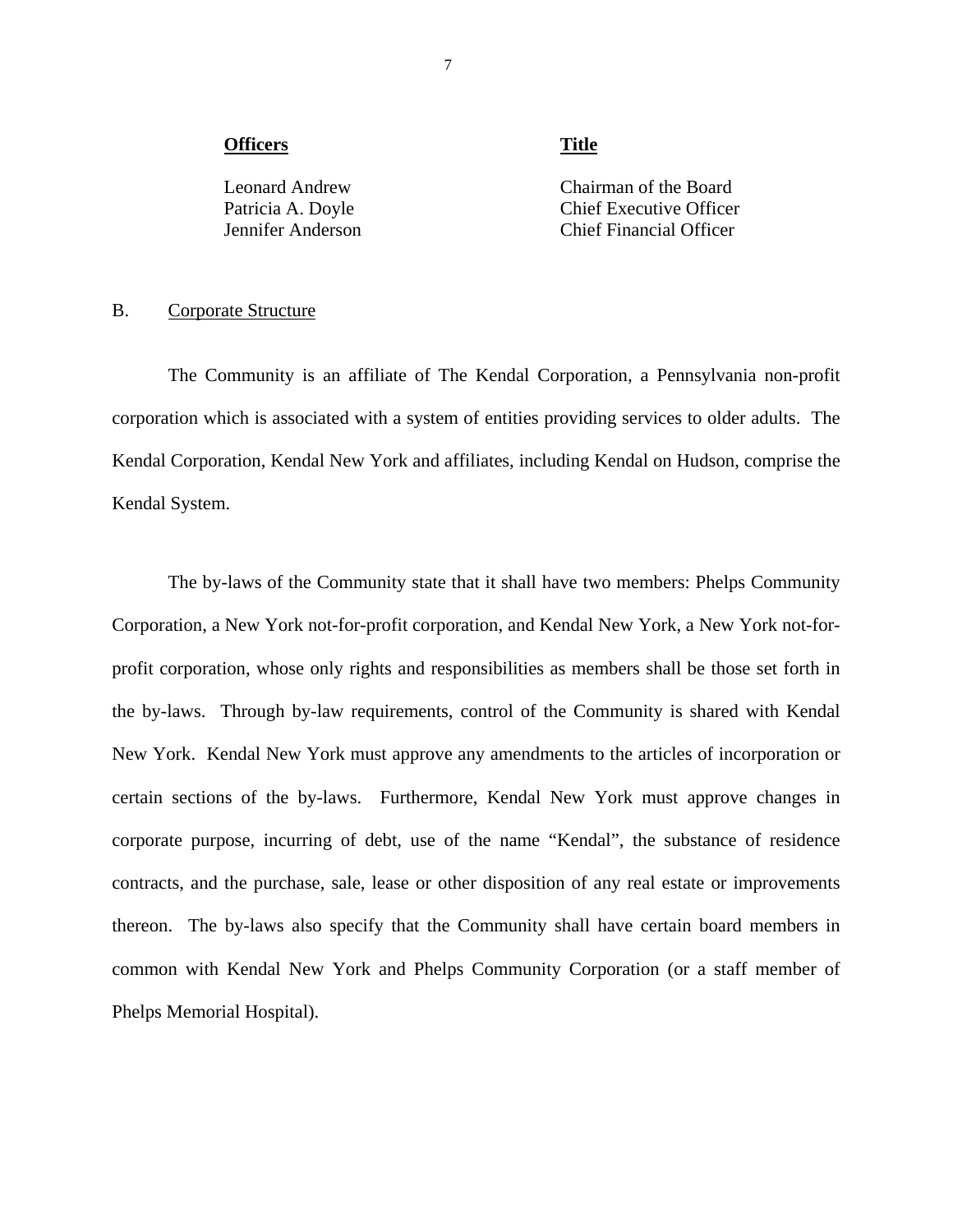#### <span id="page-8-0"></span>**Officers** Title

Leonard Andrew Chairman of the Board Patricia A. Doyle Chief Executive Officer Jennifer Anderson Chief Financial Officer

#### B. Corporate Structure

The Community is an affiliate of The Kendal Corporation, a Pennsylvania non-profit corporation which is associated with a system of entities providing services to older adults. The Kendal Corporation, Kendal New York and affiliates, including Kendal on Hudson, comprise the Kendal System.

The by-laws of the Community state that it shall have two members: Phelps Community Corporation, a New York not-for-profit corporation, and Kendal New York, a New York not-forprofit corporation, whose only rights and responsibilities as members shall be those set forth in the by-laws. Through by-law requirements, control of the Community is shared with Kendal New York. Kendal New York must approve any amendments to the articles of incorporation or certain sections of the by-laws. Furthermore, Kendal New York must approve changes in corporate purpose, incurring of debt, use of the name "Kendal", the substance of residence contracts, and the purchase, sale, lease or other disposition of any real estate or improvements thereon. The by-laws also specify that the Community shall have certain board members in common with Kendal New York and Phelps Community Corporation (or a staff member of Phelps Memorial Hospital).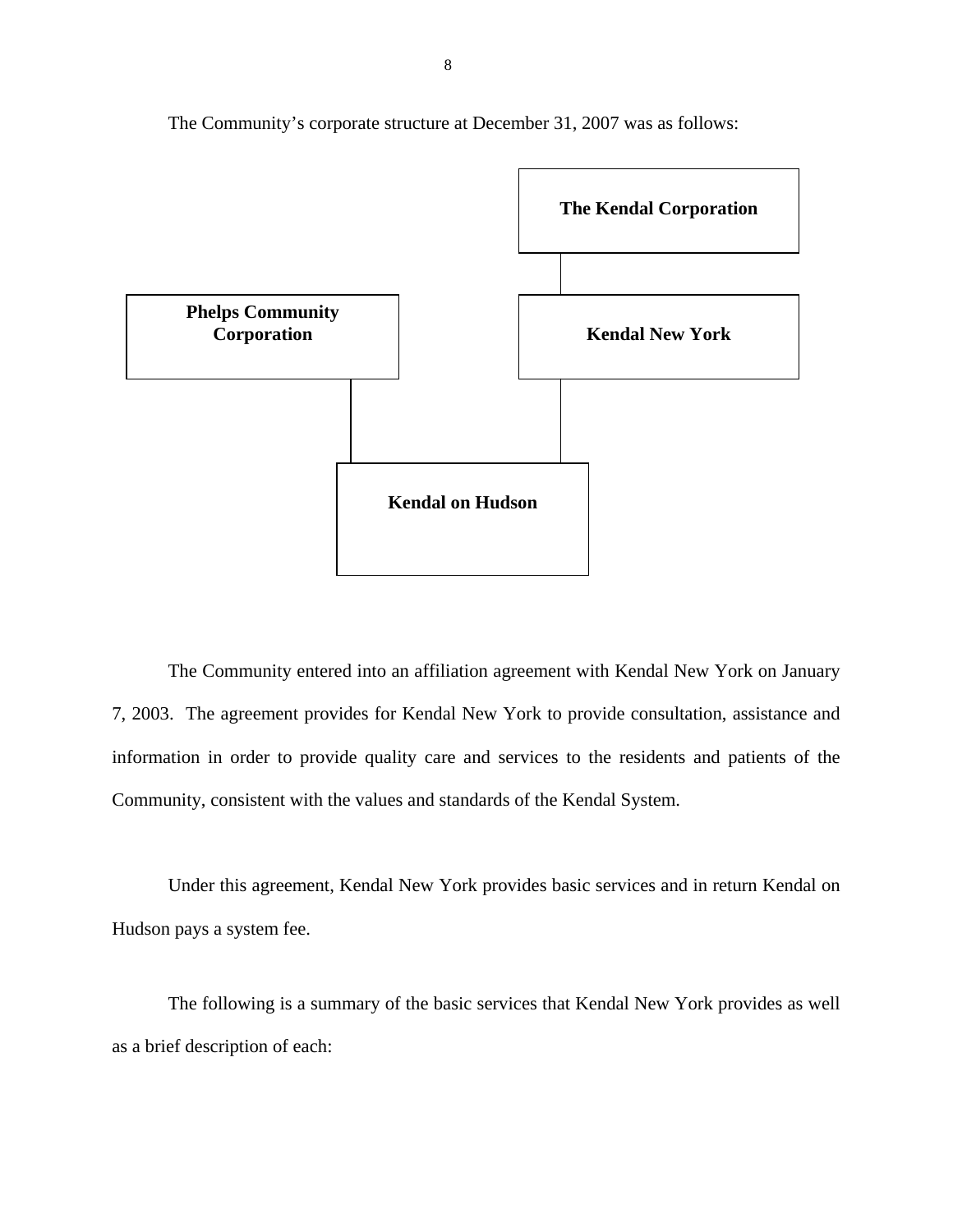

The Community's corporate structure at December 31, 2007 was as follows:

The Community entered into an affiliation agreement with Kendal New York on January 7, 2003. The agreement provides for Kendal New York to provide consultation, assistance and information in order to provide quality care and services to the residents and patients of the Community, consistent with the values and standards of the Kendal System.

Under this agreement, Kendal New York provides basic services and in return Kendal on Hudson pays a system fee.

The following is a summary of the basic services that Kendal New York provides as well as a brief description of each: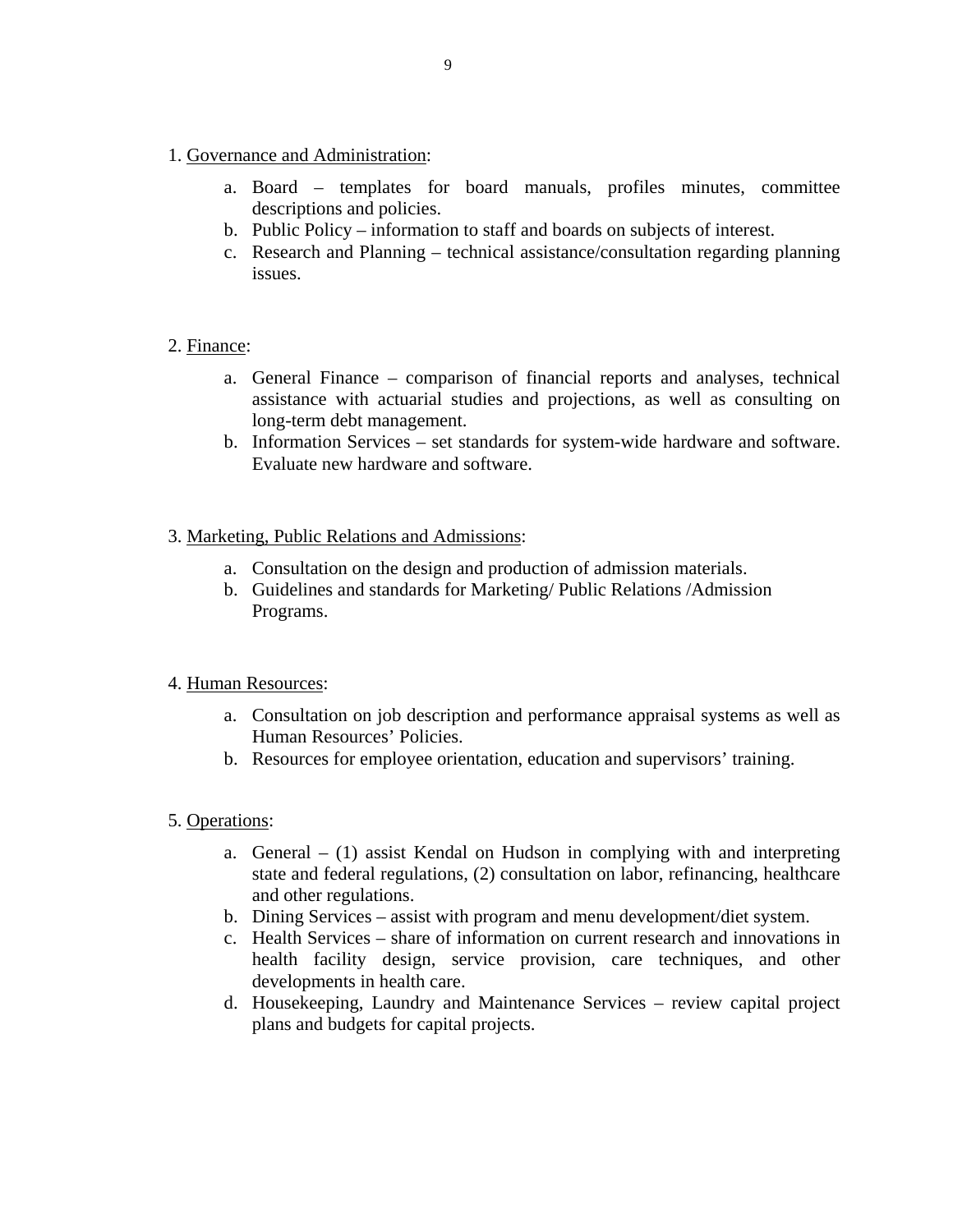- 1. Governance and Administration:
	- a. Board templates for board manuals, profiles minutes, committee descriptions and policies.
	- b. Public Policy information to staff and boards on subjects of interest.
	- c. Research and Planning technical assistance/consultation regarding planning issues.

#### 2. Finance:

- a. General Finance comparison of financial reports and analyses, technical assistance with actuarial studies and projections, as well as consulting on long-term debt management.
- b. Information Services set standards for system-wide hardware and software. Evaluate new hardware and software.

#### 3. Marketing, Public Relations and Admissions:

- a. Consultation on the design and production of admission materials.
- b. Guidelines and standards for Marketing/ Public Relations /Admission Programs.

#### 4. Human Resources:

- a. Consultation on job description and performance appraisal systems as well as Human Resources' Policies.
- b. Resources for employee orientation, education and supervisors' training.

#### 5. Operations:

- a. General  $(1)$  assist Kendal on Hudson in complying with and interpreting state and federal regulations, (2) consultation on labor, refinancing, healthcare and other regulations.
- b. Dining Services assist with program and menu development/diet system.
- c. Health Services share of information on current research and innovations in health facility design, service provision, care techniques, and other developments in health care.
- d. Housekeeping, Laundry and Maintenance Services review capital project plans and budgets for capital projects.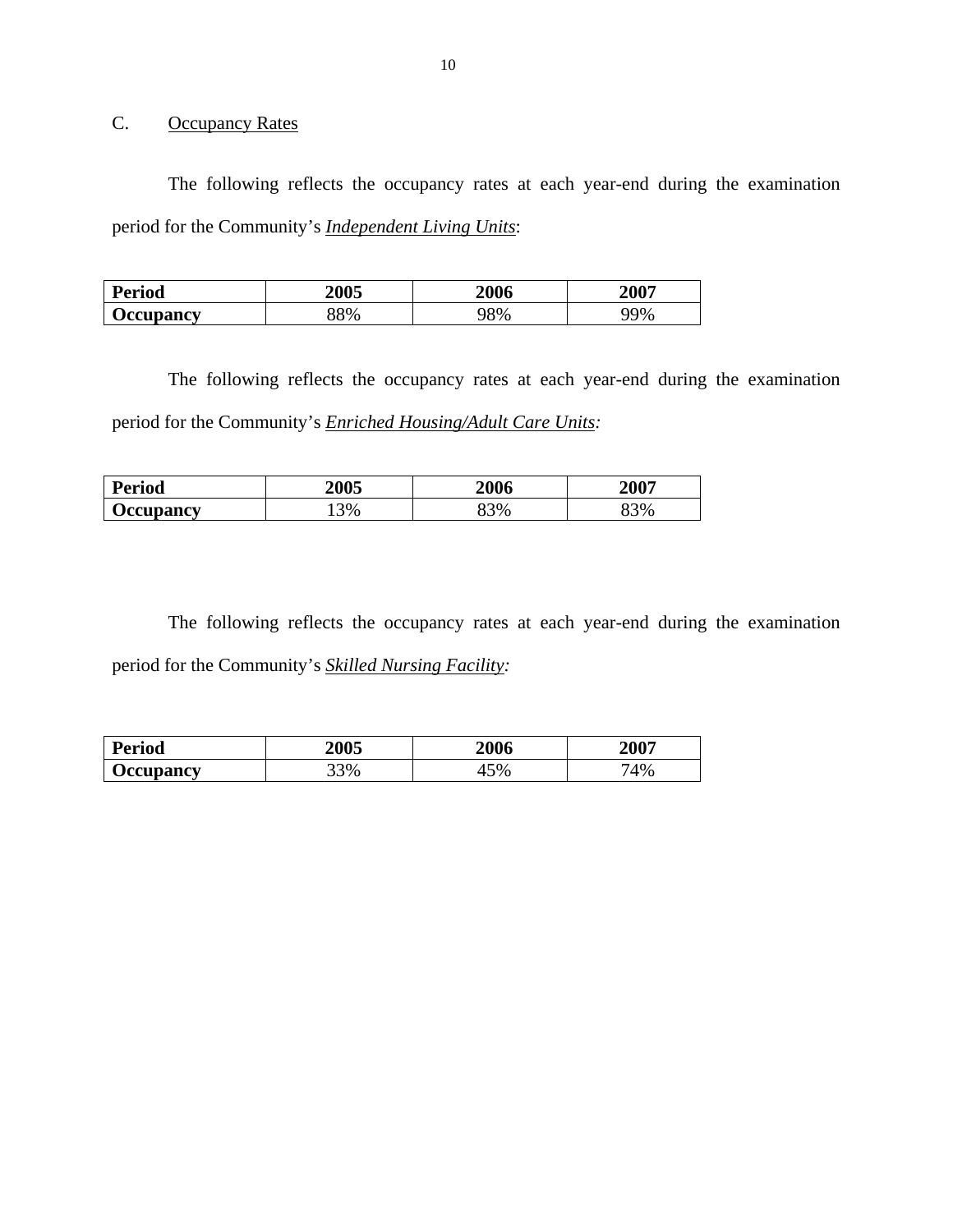C. Occupancy Rates

The following reflects the occupancy rates at each year-end during the examination period for the Community's *Independent Living Units*:

| <b>Period</b>    | <b>2005</b> | 2006 | 2007 |
|------------------|-------------|------|------|
| <b>Occupancy</b> | 88%         | 98%  | 99%  |

The following reflects the occupancy rates at each year-end during the examination period for the Community's *Enriched Housing/Adult Care Units:* 

| <b>Period</b>    | <b>2005</b> | 2006 | 2007 |
|------------------|-------------|------|------|
| <b>Occupancy</b> | $3\%$<br>ັ  | 33%  | 3%   |

The following reflects the occupancy rates at each year-end during the examination period for the Community's *Skilled Nursing Facility:* 

| <b>Period</b>    | <b>2005</b> | 2006     | 2007 |
|------------------|-------------|----------|------|
| <b>Occupancy</b> | 33%         | 5%<br>т. | 74%  |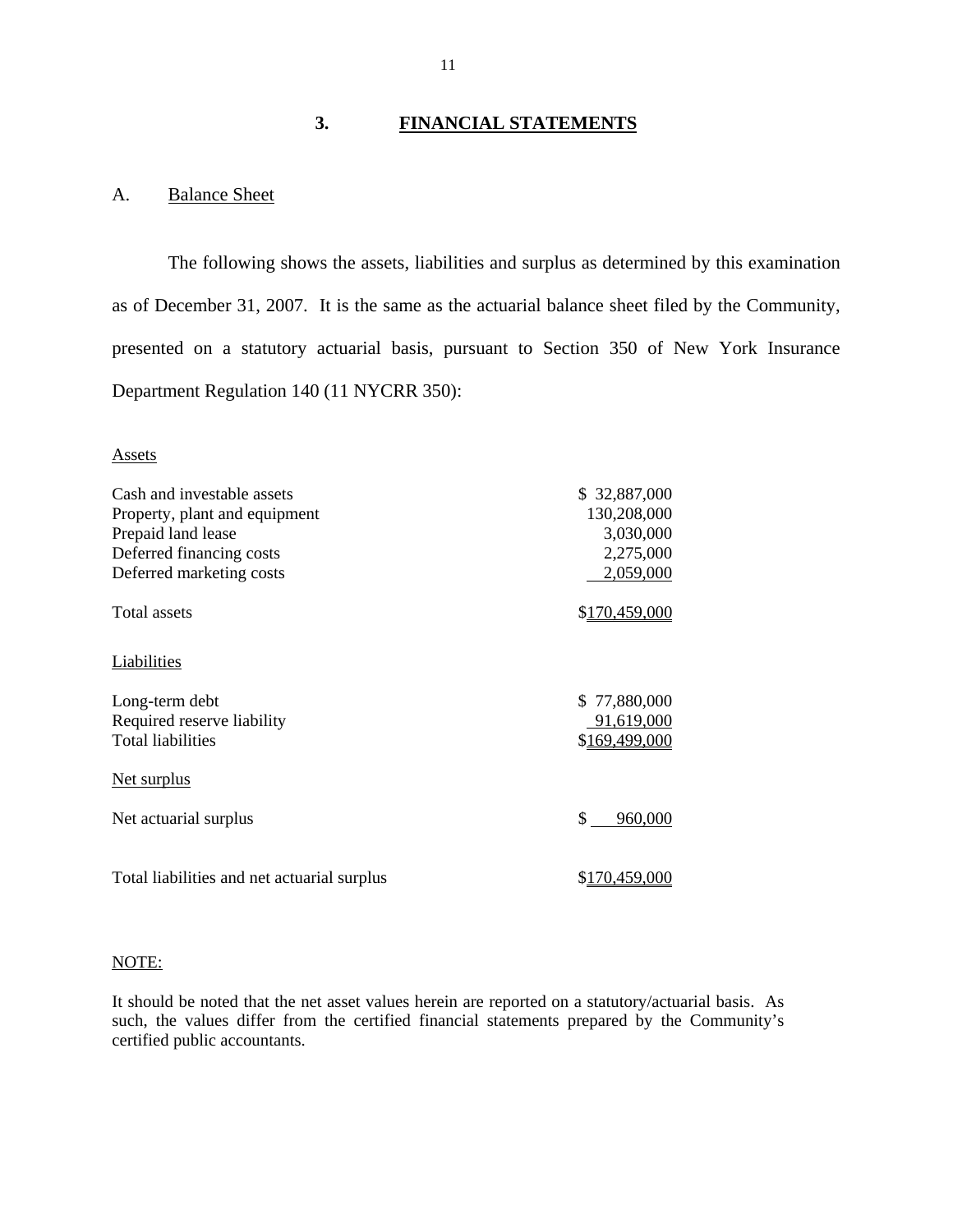# **3. FINANCIAL STATEMENTS**

## A. Balance Sheet

The following shows the assets, liabilities and surplus as determined by this examination as of December 31, 2007. It is the same as the actuarial balance sheet filed by the Community, presented on a statutory actuarial basis, pursuant to Section 350 of New York Insurance Department Regulation 140 (11 NYCRR 350):

#### Assets

| Cash and investable assets                  | \$32,887,000  |
|---------------------------------------------|---------------|
| Property, plant and equipment               | 130,208,000   |
| Prepaid land lease                          | 3,030,000     |
| Deferred financing costs                    | 2,275,000     |
| Deferred marketing costs                    | 2,059,000     |
| <b>Total assets</b>                         | \$170,459,000 |
| <b>Liabilities</b>                          |               |
| Long-term debt                              | \$77,880,000  |
| Required reserve liability                  | 91,619,000    |
| <b>Total liabilities</b>                    | \$169,499,000 |
| <u>Net surplus</u>                          |               |
| Net actuarial surplus                       | \$<br>960,000 |
| Total liabilities and net actuarial surplus | \$170,459,000 |

#### NOTE:

It should be noted that the net asset values herein are reported on a statutory/actuarial basis. As such, the values differ from the certified financial statements prepared by the Community's certified public accountants.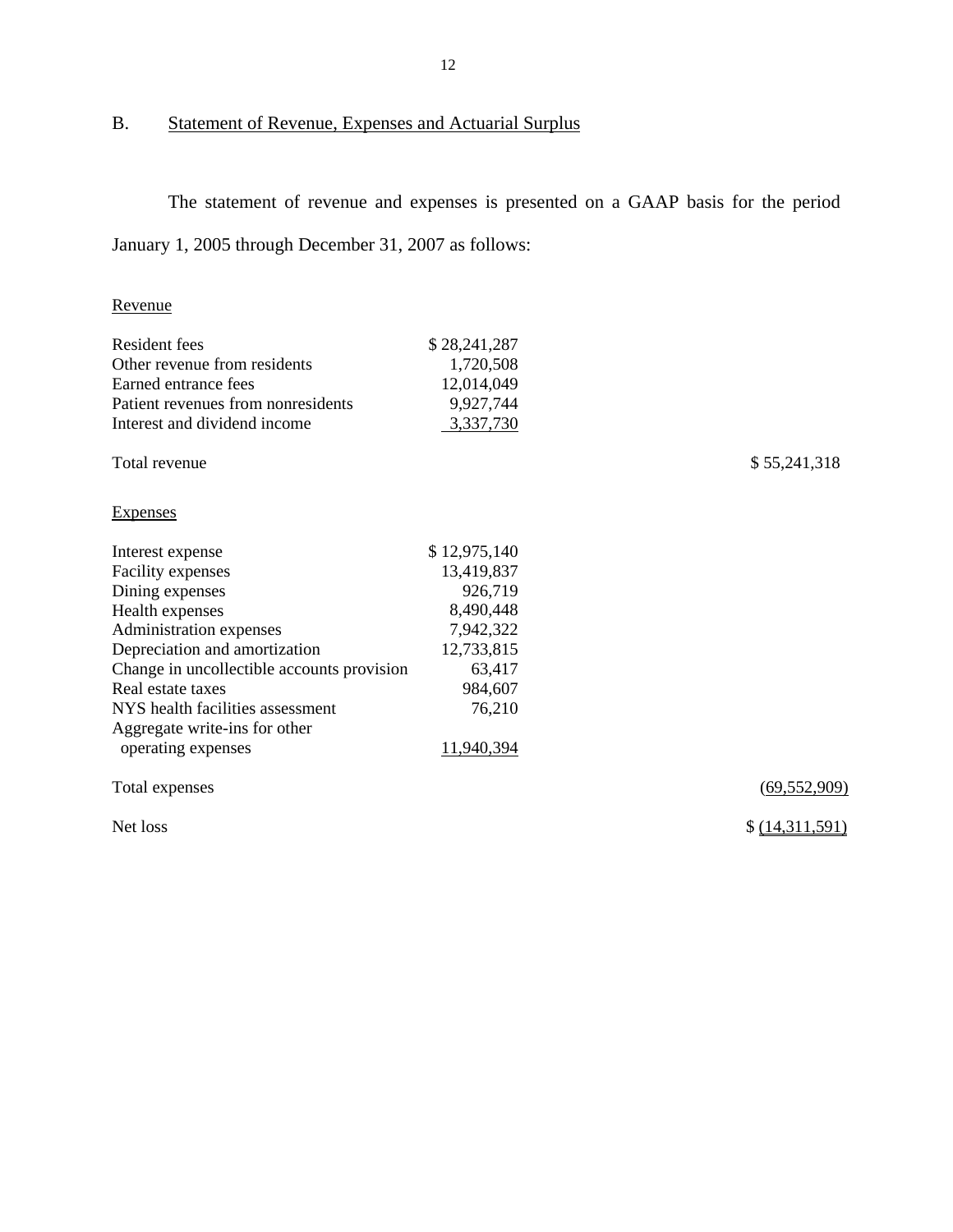# B. Statement of Revenue, Expenses and Actuarial Surplus

The statement of revenue and expenses is presented on a GAAP basis for the period January 1, 2005 through December 31, 2007 as follows:

# Revenue

| <b>Resident fees</b>                       | \$28,241,287 |                |
|--------------------------------------------|--------------|----------------|
| Other revenue from residents               | 1,720,508    |                |
| Earned entrance fees                       | 12,014,049   |                |
| Patient revenues from nonresidents         | 9,927,744    |                |
| Interest and dividend income               | 3,337,730    |                |
| Total revenue                              |              | \$55,241,318   |
| <b>Expenses</b>                            |              |                |
| Interest expense                           | \$12,975,140 |                |
| Facility expenses                          | 13,419,837   |                |
| Dining expenses                            | 926,719      |                |
| Health expenses                            | 8,490,448    |                |
| Administration expenses                    | 7,942,322    |                |
| Depreciation and amortization              | 12,733,815   |                |
| Change in uncollectible accounts provision | 63,417       |                |
| Real estate taxes                          | 984,607      |                |
| NYS health facilities assessment           | 76,210       |                |
| Aggregate write-ins for other              |              |                |
| operating expenses                         | 11,940,394   |                |
| Total expenses                             |              | (69, 552, 909) |

Net loss  $\frac{\{(14,311,591)}{8}$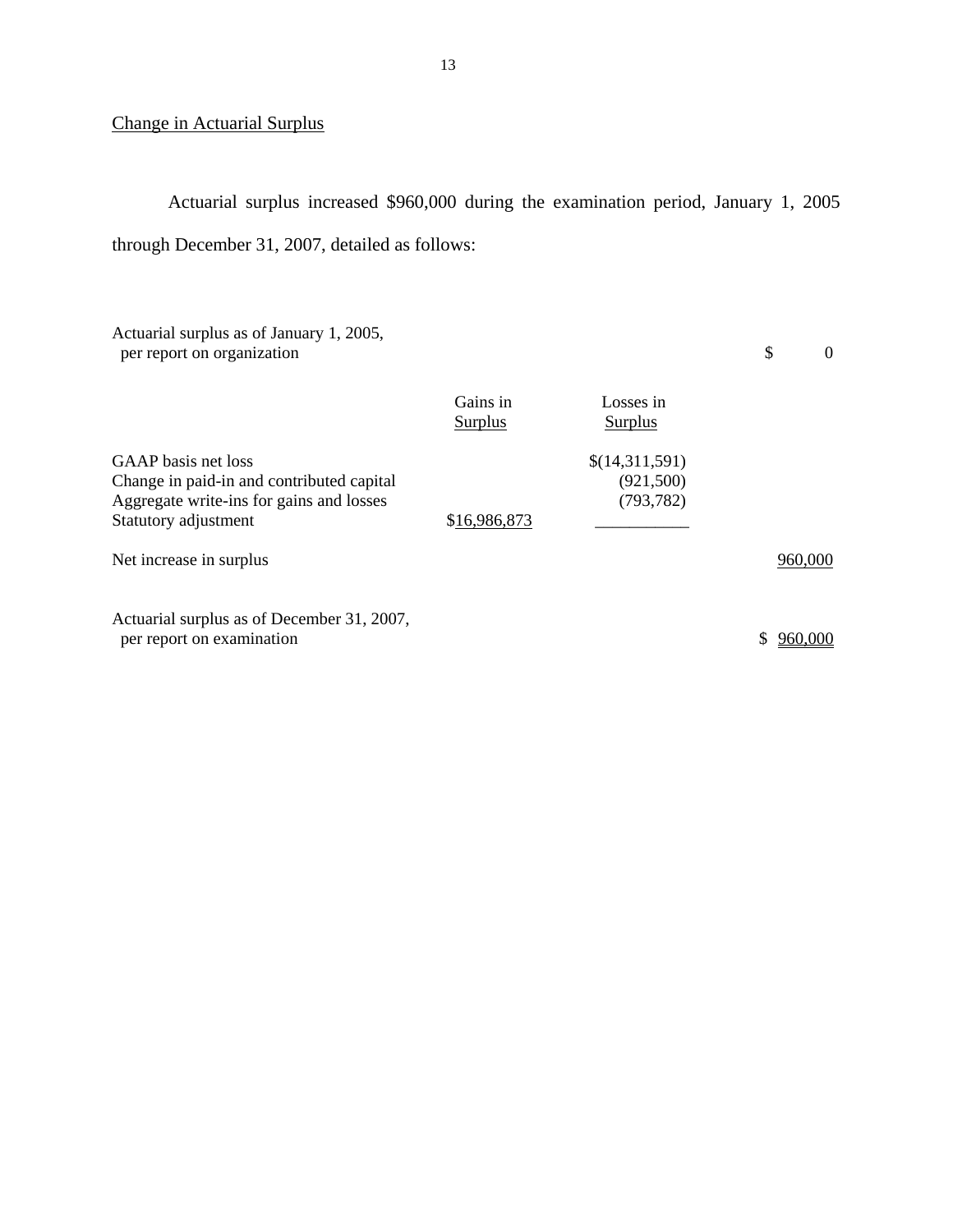# Change in Actuarial Surplus

Actuarial surplus increased \$960,000 during the examination period, January 1, 2005 through December 31, 2007, detailed as follows:

| Actuarial surplus as of January 1, 2005,<br>per report on organization                                                               |                            |                                           | \$<br>$\theta$ |
|--------------------------------------------------------------------------------------------------------------------------------------|----------------------------|-------------------------------------------|----------------|
|                                                                                                                                      | Gains in<br><b>Surplus</b> | Losses in<br><b>Surplus</b>               |                |
| GAAP basis net loss<br>Change in paid-in and contributed capital<br>Aggregate write-ins for gains and losses<br>Statutory adjustment | \$16,986,873               | \$(14,311,591)<br>(921,500)<br>(793, 782) |                |
| Net increase in surplus                                                                                                              |                            |                                           | 960,000        |
| Actuarial surplus as of December 31, 2007,<br>per report on examination                                                              |                            |                                           | 960,000        |